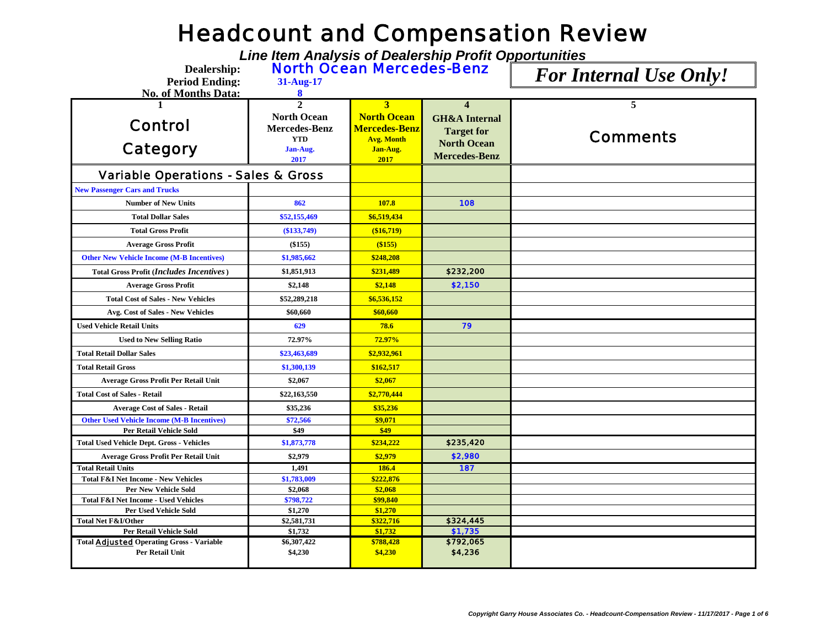## Headcount and Compensation Review

*Line Item Analysis of Dealership Profit Opportunities*

**Dealership: North Ocean Mercedes-Benz** For Internal Use Only!

**Period Ending: 31-Aug-17**

| <b>No. of Months Data:</b>                                                 | 8                      |                      |                          |                 |
|----------------------------------------------------------------------------|------------------------|----------------------|--------------------------|-----------------|
|                                                                            | $\overline{2}$         | 3                    | $\boldsymbol{\Delta}$    | 5               |
|                                                                            | <b>North Ocean</b>     | <b>North Ocean</b>   | <b>GH&amp;A</b> Internal |                 |
| <b>Control</b>                                                             | <b>Mercedes-Benz</b>   | <b>Mercedes-Benz</b> | <b>Target for</b>        |                 |
|                                                                            | <b>YTD</b>             | <b>Avg. Month</b>    | <b>North Ocean</b>       | <b>Comments</b> |
| <b>Category</b>                                                            | Jan-Aug.               | Jan-Aug.             | <b>Mercedes-Benz</b>     |                 |
|                                                                            | 2017                   | 2017                 |                          |                 |
| <b>Variable Operations - Sales &amp; Gross</b>                             |                        |                      |                          |                 |
| <b>New Passenger Cars and Trucks</b>                                       |                        |                      |                          |                 |
| <b>Number of New Units</b>                                                 | 862                    | 107.8                | 108                      |                 |
| <b>Total Dollar Sales</b>                                                  | \$52,155,469           | \$6,519,434          |                          |                 |
| <b>Total Gross Profit</b>                                                  | $(\$133,749)$          | (\$16,719)           |                          |                 |
| <b>Average Gross Profit</b>                                                | (\$155)                | (\$155)              |                          |                 |
| <b>Other New Vehicle Income (M-B Incentives)</b>                           | \$1,985,662            | \$248,208            |                          |                 |
| Total Gross Profit (Includes Incentives)                                   | \$1,851,913            | \$231,489            | \$232,200                |                 |
| <b>Average Gross Profit</b>                                                | \$2,148                | \$2,148              | \$2,150                  |                 |
| <b>Total Cost of Sales - New Vehicles</b>                                  | \$52,289,218           | \$6,536,152          |                          |                 |
| Avg. Cost of Sales - New Vehicles                                          | \$60,660               | \$60,660             |                          |                 |
| <b>Used Vehicle Retail Units</b>                                           | 629                    | 78.6                 | 79                       |                 |
| <b>Used to New Selling Ratio</b>                                           | 72.97%                 | 72.97%               |                          |                 |
| <b>Total Retail Dollar Sales</b>                                           | \$23,463,689           | \$2,932,961          |                          |                 |
| <b>Total Retail Gross</b>                                                  | \$1,300,139            | \$162,517            |                          |                 |
| <b>Average Gross Profit Per Retail Unit</b>                                | \$2,067                | \$2,067              |                          |                 |
| <b>Total Cost of Sales - Retail</b>                                        | \$22,163,550           | \$2,770,444          |                          |                 |
| <b>Average Cost of Sales - Retail</b>                                      | \$35,236               | \$35,236             |                          |                 |
| <b>Other Used Vehicle Income (M-B Incentives)</b>                          | \$72,566               | \$9,071              |                          |                 |
| Per Retail Vehicle Sold                                                    | \$49                   | \$49                 |                          |                 |
| <b>Total Used Vehicle Dept. Gross - Vehicles</b>                           | \$1,873,778            | \$234,222            | \$235,420                |                 |
| Average Gross Profit Per Retail Unit                                       | \$2,979                | \$2,979              | \$2,980                  |                 |
| <b>Total Retail Units</b>                                                  | 1,491                  | 186.4                | 187                      |                 |
| <b>Total F&amp;I Net Income - New Vehicles</b>                             | \$1,783,009            | \$222,876            |                          |                 |
| <b>Per New Vehicle Sold</b>                                                | \$2,068                | \$2,068              |                          |                 |
| <b>Total F&amp;I Net Income - Used Vehicles</b>                            | \$798,722              | \$99,840             |                          |                 |
| <b>Per Used Vehicle Sold</b>                                               | \$1,270                | \$1,270              |                          |                 |
| <b>Total Net F&amp;I/Other</b>                                             | \$2,581,731            | \$322,716            | \$324,445                |                 |
| Per Retail Vehicle Sold                                                    | \$1,732                | \$1,732              | \$1,735                  |                 |
| <b>Total Adjusted Operating Gross - Variable</b><br><b>Per Retail Unit</b> | \$6,307,422<br>\$4,230 | \$788,428<br>\$4,230 | \$792,065<br>\$4,236     |                 |
|                                                                            |                        |                      |                          |                 |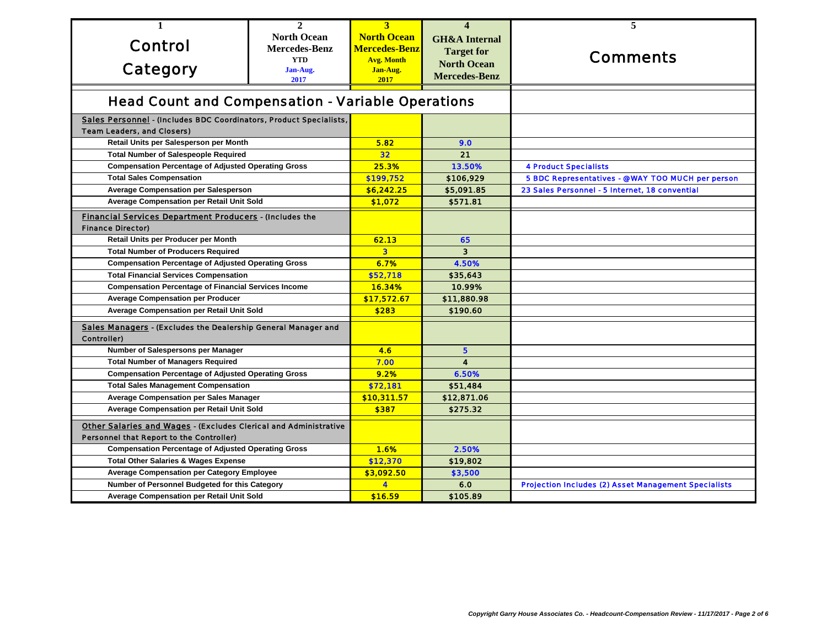| 1                                                                                          | $\mathbf{2}$                                   | 3                       | $\overline{\mathbf{4}}$  | 5                                                           |
|--------------------------------------------------------------------------------------------|------------------------------------------------|-------------------------|--------------------------|-------------------------------------------------------------|
|                                                                                            | <b>North Ocean</b>                             | <b>North Ocean</b>      | <b>GH&amp;A</b> Internal |                                                             |
| <b>Control</b>                                                                             | <b>Mercedes-Benz</b>                           | Mercedes-Benz           | <b>Target for</b>        |                                                             |
|                                                                                            | <b>YTD</b>                                     | <b>Avg. Month</b>       | <b>North Ocean</b>       | <b>Comments</b>                                             |
| <b>Category</b>                                                                            | Jan-Aug.<br>2017                               | Jan-Aug.<br>2017        | <b>Mercedes-Benz</b>     |                                                             |
|                                                                                            |                                                |                         |                          |                                                             |
| <b>Head Count and Compensation - Variable Operations</b>                                   |                                                |                         |                          |                                                             |
| Sales Personnel - (Includes BDC Coordinators, Product Specialists,                         |                                                |                         |                          |                                                             |
| <b>Team Leaders, and Closers)</b>                                                          |                                                |                         |                          |                                                             |
| Retail Units per Salesperson per Month                                                     |                                                | 5.82                    | 9.0                      |                                                             |
| <b>Total Number of Salespeople Required</b>                                                |                                                | 32                      | 21                       |                                                             |
| <b>Compensation Percentage of Adjusted Operating Gross</b>                                 |                                                | 25.3%                   | 13.50%                   | <b>4 Product Specialists</b>                                |
| <b>Total Sales Compensation</b>                                                            |                                                | \$199,752               | \$106,929                | 5 BDC Representatives - @ WAY TOO MUCH per person           |
|                                                                                            | <b>Average Compensation per Salesperson</b>    |                         | \$5,091.85               | 23 Sales Personnel - 5 Internet, 18 convential              |
| Average Compensation per Retail Unit Sold                                                  |                                                | \$1,072                 | \$571.81                 |                                                             |
| <b>Financial Services Department Producers - (Includes the</b>                             |                                                |                         |                          |                                                             |
| <b>Finance Director)</b>                                                                   |                                                |                         |                          |                                                             |
| Retail Units per Producer per Month                                                        |                                                | 62.13                   | 65                       |                                                             |
| <b>Total Number of Producers Required</b>                                                  |                                                | $\overline{\mathbf{3}}$ | $\overline{\mathbf{3}}$  |                                                             |
| <b>Compensation Percentage of Adjusted Operating Gross</b>                                 |                                                | 6.7%                    | 4.50%                    |                                                             |
|                                                                                            | <b>Total Financial Services Compensation</b>   |                         | \$35,643                 |                                                             |
| <b>Compensation Percentage of Financial Services Income</b>                                |                                                | <b>16.34%</b>           | 10.99%                   |                                                             |
| <b>Average Compensation per Producer</b>                                                   |                                                | \$17,572.67             | \$11,880.98              |                                                             |
| Average Compensation per Retail Unit Sold                                                  |                                                | \$283                   | \$190.60                 |                                                             |
|                                                                                            |                                                |                         |                          |                                                             |
| <b>Sales Managers - (Excludes the Dealership General Manager and</b><br><b>Controller)</b> |                                                |                         |                          |                                                             |
| Number of Salespersons per Manager                                                         |                                                | 4.6                     | 5                        |                                                             |
| <b>Total Number of Managers Required</b>                                                   |                                                | 7.00                    | $\blacktriangle$         |                                                             |
| <b>Compensation Percentage of Adjusted Operating Gross</b>                                 |                                                | 9.2%                    | 6.50%                    |                                                             |
| <b>Total Sales Management Compensation</b>                                                 |                                                | \$72,181                | \$51,484                 |                                                             |
| <b>Average Compensation per Sales Manager</b>                                              |                                                | \$10,311.57             | \$12,871.06              |                                                             |
| Average Compensation per Retail Unit Sold                                                  |                                                | \$387                   | \$275.32                 |                                                             |
| Other Salaries and Wages - (Excludes Clerical and Administrative                           |                                                |                         |                          |                                                             |
| <b>Personnel that Report to the Controller)</b>                                            |                                                |                         |                          |                                                             |
| <b>Compensation Percentage of Adjusted Operating Gross</b>                                 |                                                | 1.6%                    | 2.50%                    |                                                             |
| <b>Total Other Salaries &amp; Wages Expense</b>                                            |                                                | \$12,370                | \$19,802                 |                                                             |
| <b>Average Compensation per Category Employee</b>                                          |                                                | \$3,092.50              | \$3,500                  |                                                             |
|                                                                                            | Number of Personnel Budgeted for this Category |                         | 6.0                      | <b>Projection Includes (2) Asset Management Specialists</b> |
| Average Compensation per Retail Unit Sold                                                  |                                                | \$16.59                 | \$105.89                 |                                                             |
|                                                                                            |                                                |                         |                          |                                                             |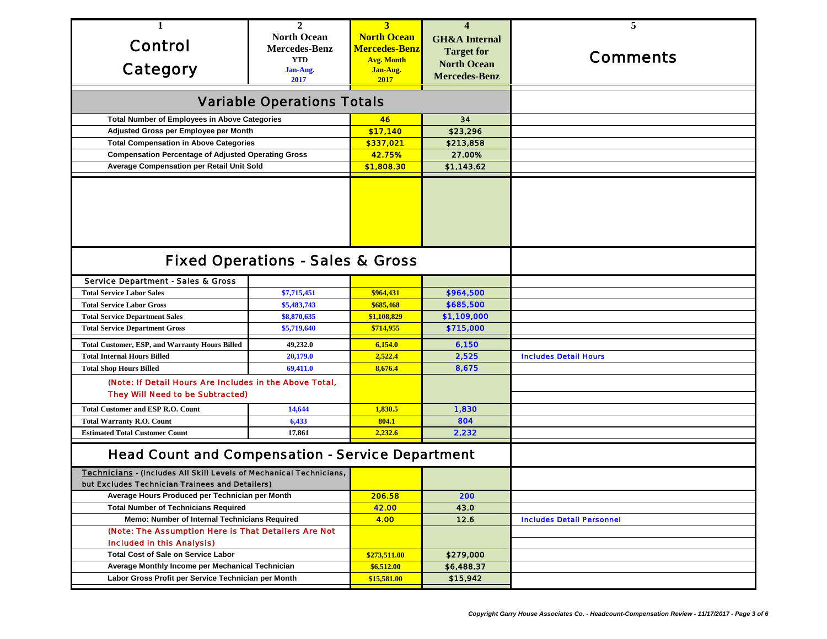| 1                                                                                                                             | $\mathbf{2}$                      | 3                    | $\overline{\mathbf{4}}$  | 5                                |
|-------------------------------------------------------------------------------------------------------------------------------|-----------------------------------|----------------------|--------------------------|----------------------------------|
|                                                                                                                               | <b>North Ocean</b>                | <b>North Ocean</b>   | <b>GH&amp;A</b> Internal |                                  |
| <b>Control</b>                                                                                                                | <b>Mercedes-Benz</b>              | <b>Mercedes-Benz</b> | <b>Target for</b>        |                                  |
|                                                                                                                               | <b>YTD</b>                        | <b>Avg. Month</b>    | <b>North Ocean</b>       | <b>Comments</b>                  |
| <b>Category</b>                                                                                                               | Jan-Aug.                          | Jan-Aug.             | <b>Mercedes-Benz</b>     |                                  |
|                                                                                                                               | 2017                              | 2017                 |                          |                                  |
|                                                                                                                               | <b>Variable Operations Totals</b> |                      |                          |                                  |
| <b>Total Number of Employees in Above Categories</b>                                                                          |                                   | 46                   | 34                       |                                  |
| Adjusted Gross per Employee per Month                                                                                         |                                   | \$17,140             | \$23,296                 |                                  |
| <b>Total Compensation in Above Categories</b>                                                                                 |                                   | \$337,021            | \$213,858                |                                  |
| <b>Compensation Percentage of Adjusted Operating Gross</b>                                                                    |                                   | 42.75%               | 27.00%                   |                                  |
| Average Compensation per Retail Unit Sold                                                                                     |                                   | \$1,808.30           | \$1,143.62               |                                  |
|                                                                                                                               |                                   |                      |                          |                                  |
| <b>Fixed Operations - Sales &amp; Gross</b>                                                                                   |                                   |                      |                          |                                  |
| <b>Service Department - Sales &amp; Gross</b>                                                                                 |                                   |                      |                          |                                  |
| <b>Total Service Labor Sales</b>                                                                                              | \$7,715,451                       | \$964,431            | \$964,500                |                                  |
| <b>Total Service Labor Gross</b>                                                                                              | \$5,483,743                       | \$685,468            | \$685,500                |                                  |
| <b>Total Service Department Sales</b>                                                                                         | \$8,870,635                       | \$1,108,829          | \$1,109,000              |                                  |
| <b>Total Service Department Gross</b>                                                                                         | \$5,719,640                       | \$714,955            | \$715,000                |                                  |
| <b>Total Customer, ESP, and Warranty Hours Billed</b>                                                                         | 49,232.0                          | 6,154.0              | 6,150                    |                                  |
| <b>Total Internal Hours Billed</b>                                                                                            | 20,179.0                          | 2,522.4              | 2,525                    | <b>Includes Detail Hours</b>     |
| <b>Total Shop Hours Billed</b>                                                                                                | 69,411.0                          | 8,676.4              | 8,675                    |                                  |
| (Note: If Detail Hours Are Includes in the Above Total,                                                                       |                                   |                      |                          |                                  |
| <b>They Will Need to be Subtracted)</b>                                                                                       |                                   |                      |                          |                                  |
| <b>Total Customer and ESP R.O. Count</b>                                                                                      | 14,644                            | 1,830.5              | 1,830                    |                                  |
| <b>Total Warranty R.O. Count</b>                                                                                              | 6,433                             | 804.1                | 804                      |                                  |
| <b>Estimated Total Customer Count</b>                                                                                         | 17,861                            | 2,232.6              | 2,232                    |                                  |
| <b>Head Count and Compensation - Service Department</b>                                                                       |                                   |                      |                          |                                  |
| <b>Technicians - (Includes All Skill Levels of Mechanical Technicians,</b><br>but Excludes Technician Trainees and Detailers) |                                   |                      |                          |                                  |
| Average Hours Produced per Technician per Month                                                                               |                                   | 206.58               | 200                      |                                  |
| <b>Total Number of Technicians Required</b>                                                                                   |                                   | 42.00                | 43.0                     |                                  |
| Memo: Number of Internal Technicians Required                                                                                 |                                   | 4.00                 | 12.6                     | <b>Includes Detail Personnel</b> |
| (Note: The Assumption Here is That Detailers Are Not                                                                          |                                   |                      |                          |                                  |
| <b>Included in this Analysis)</b>                                                                                             |                                   |                      |                          |                                  |
| <b>Total Cost of Sale on Service Labor</b>                                                                                    |                                   | \$273,511.00         | \$279,000                |                                  |
| Average Monthly Income per Mechanical Technician                                                                              |                                   | \$6,512.00           | \$6,488.37               |                                  |
| Labor Gross Profit per Service Technician per Month                                                                           |                                   | \$15,581.00          | \$15,942                 |                                  |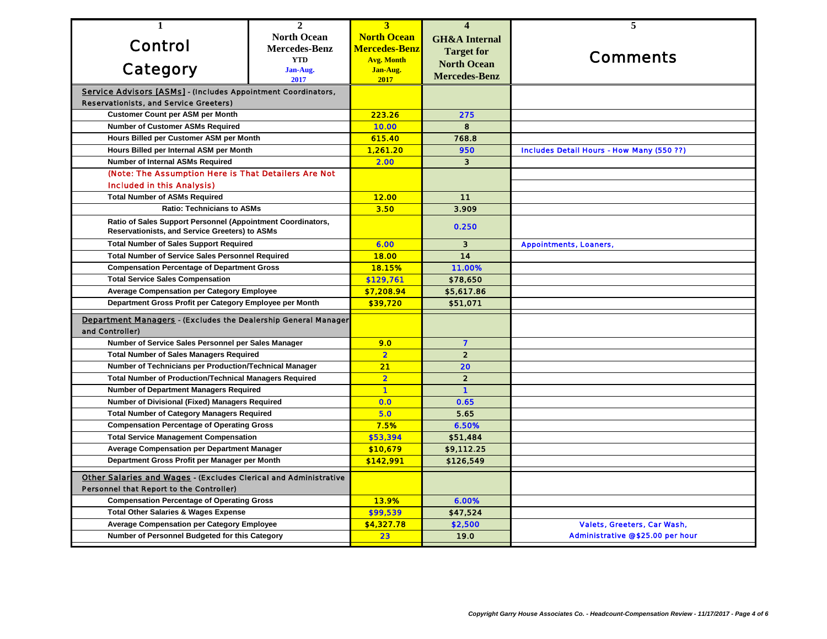| 1                                                                                                                    | $\mathbf{2}$         | $\overline{3}$          | $\overline{\mathbf{4}}$  | 5                                                |
|----------------------------------------------------------------------------------------------------------------------|----------------------|-------------------------|--------------------------|--------------------------------------------------|
|                                                                                                                      | <b>North Ocean</b>   | <b>North Ocean</b>      | <b>GH&amp;A</b> Internal |                                                  |
| <b>Control</b>                                                                                                       | <b>Mercedes-Benz</b> | <b>Mercedes-Benz</b>    | <b>Target for</b>        |                                                  |
|                                                                                                                      | <b>YTD</b>           | <b>Avg. Month</b>       | <b>North Ocean</b>       | <b>Comments</b>                                  |
| <b>Category</b>                                                                                                      | Jan-Aug.<br>2017     | Jan-Aug.<br>2017        | <b>Mercedes-Benz</b>     |                                                  |
| Service Advisors [ASMs] - (Includes Appointment Coordinators,                                                        |                      |                         |                          |                                                  |
| <b>Reservationists, and Service Greeters)</b>                                                                        |                      |                         |                          |                                                  |
| <b>Customer Count per ASM per Month</b>                                                                              |                      | 223.26                  | 275                      |                                                  |
| <b>Number of Customer ASMs Required</b>                                                                              |                      | 10.00                   | 8                        |                                                  |
| Hours Billed per Customer ASM per Month                                                                              |                      | 615.40                  | 768.8                    |                                                  |
| Hours Billed per Internal ASM per Month                                                                              |                      | 1,261.20                | 950                      | <b>Includes Detail Hours - How Many (550 ??)</b> |
| Number of Internal ASMs Required                                                                                     |                      | 2.00                    | $\overline{\mathbf{3}}$  |                                                  |
| (Note: The Assumption Here is That Detailers Are Not                                                                 |                      |                         |                          |                                                  |
| <b>Included in this Analysis)</b>                                                                                    |                      |                         |                          |                                                  |
| <b>Total Number of ASMs Required</b>                                                                                 |                      | <b>12.00</b>            | 11                       |                                                  |
| <b>Ratio: Technicians to ASMs</b>                                                                                    |                      | 3.50                    | 3.909                    |                                                  |
| Ratio of Sales Support Personnel (Appointment Coordinators,<br><b>Reservationists, and Service Greeters) to ASMs</b> |                      |                         | 0.250                    |                                                  |
| <b>Total Number of Sales Support Required</b>                                                                        |                      | 6.00                    | $\mathbf{3}$             | <b>Appointments, Loaners,</b>                    |
| <b>Total Number of Service Sales Personnel Required</b>                                                              |                      | <b>18.00</b>            | 14                       |                                                  |
| <b>Compensation Percentage of Department Gross</b>                                                                   |                      | 18.15%                  | 11.00%                   |                                                  |
| <b>Total Service Sales Compensation</b>                                                                              |                      | \$129,761               | \$78,650                 |                                                  |
| <b>Average Compensation per Category Employee</b>                                                                    |                      | \$7,208.94              | \$5,617.86               |                                                  |
| Department Gross Profit per Category Employee per Month                                                              |                      | \$39,720                | \$51,071                 |                                                  |
| <b>Department Managers - (Excludes the Dealership General Manager)</b>                                               |                      |                         |                          |                                                  |
| and Controller)                                                                                                      |                      |                         |                          |                                                  |
| Number of Service Sales Personnel per Sales Manager                                                                  |                      | 9.0                     | $\overline{\mathbf{z}}$  |                                                  |
| <b>Total Number of Sales Managers Required</b>                                                                       |                      | $\overline{\mathbf{2}}$ | $\overline{2}$           |                                                  |
| Number of Technicians per Production/Technical Manager                                                               |                      | 21                      | 20                       |                                                  |
| <b>Total Number of Production/Technical Managers Required</b>                                                        |                      | $\overline{\mathbf{2}}$ | $\overline{\mathbf{2}}$  |                                                  |
| <b>Number of Department Managers Required</b>                                                                        |                      | $\blacksquare$          | $\blacksquare$           |                                                  |
| Number of Divisional (Fixed) Managers Required                                                                       |                      | 0.0                     | 0.65                     |                                                  |
| <b>Total Number of Category Managers Required</b>                                                                    |                      | 5.0                     | 5.65                     |                                                  |
| <b>Compensation Percentage of Operating Gross</b>                                                                    |                      | 7.5%                    | 6.50%                    |                                                  |
| <b>Total Service Management Compensation</b>                                                                         |                      | \$53,394                | \$51,484                 |                                                  |
| <b>Average Compensation per Department Manager</b>                                                                   |                      | \$10,679                | \$9,112.25               |                                                  |
| Department Gross Profit per Manager per Month                                                                        |                      | \$142,991               | \$126,549                |                                                  |
| <b>Other Salaries and Wages - (Excludes Clerical and Administrative</b>                                              |                      |                         |                          |                                                  |
| <b>Personnel that Report to the Controller)</b>                                                                      |                      |                         |                          |                                                  |
| <b>Compensation Percentage of Operating Gross</b>                                                                    |                      | 13.9%                   | 6.00%                    |                                                  |
| <b>Total Other Salaries &amp; Wages Expense</b>                                                                      |                      | \$99,539                | \$47,524                 |                                                  |
| <b>Average Compensation per Category Employee</b>                                                                    |                      | \$4,327.78              | \$2,500                  | Valets, Greeters, Car Wash,                      |
| Number of Personnel Budgeted for this Category                                                                       |                      | 23                      | 19.0                     | <b>Administrative @ \$25.00 per hour</b>         |
|                                                                                                                      |                      |                         |                          |                                                  |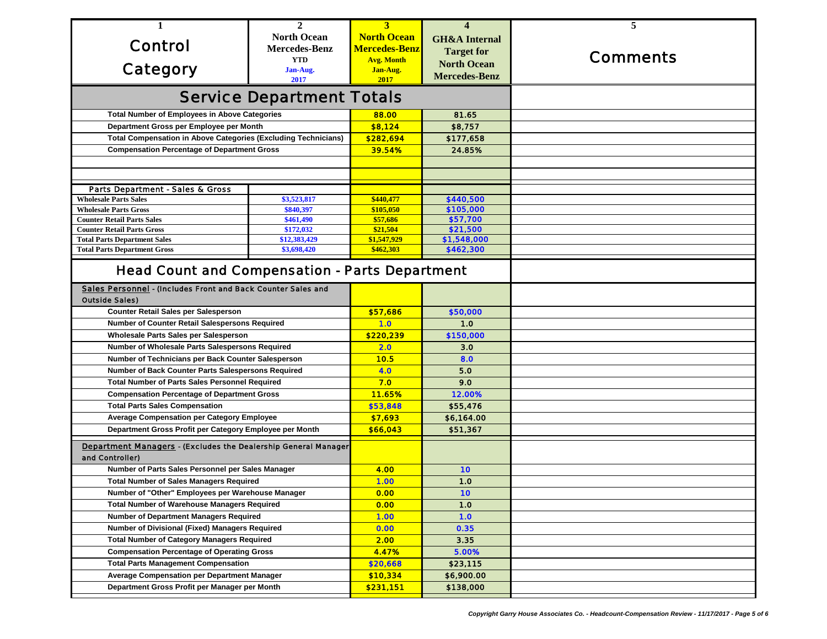| 1                                                                     | $\mathbf{2}$         | 3                    | $\overline{\mathbf{4}}$  | 5               |
|-----------------------------------------------------------------------|----------------------|----------------------|--------------------------|-----------------|
|                                                                       | <b>North Ocean</b>   | <b>North Ocean</b>   | <b>GH&amp;A</b> Internal |                 |
| <b>Control</b>                                                        | <b>Mercedes-Benz</b> | <b>Mercedes-Benz</b> |                          |                 |
|                                                                       | <b>YTD</b>           | <b>Avg. Month</b>    | <b>Target for</b>        | <b>Comments</b> |
| Category                                                              | Jan-Aug.             | Jan-Aug.             | <b>North Ocean</b>       |                 |
|                                                                       | 2017                 | 2017                 | <b>Mercedes-Benz</b>     |                 |
| <b>Service Department Totals</b>                                      |                      |                      |                          |                 |
| <b>Total Number of Employees in Above Categories</b>                  |                      | 88.00                | 81.65                    |                 |
| Department Gross per Employee per Month                               |                      | \$8,124              | \$8,757                  |                 |
| <b>Total Compensation in Above Categories (Excluding Technicians)</b> |                      | \$282,694            | \$177,658                |                 |
| <b>Compensation Percentage of Department Gross</b>                    |                      | 39.54%               | 24.85%                   |                 |
|                                                                       |                      |                      |                          |                 |
|                                                                       |                      |                      |                          |                 |
| <b>Parts Department - Sales &amp; Gross</b>                           |                      |                      |                          |                 |
| <b>Wholesale Parts Sales</b>                                          | \$3,523,817          | \$440,477            | \$440,500                |                 |
| <b>Wholesale Parts Gross</b>                                          | \$840,397            | \$105,050            | \$105,000                |                 |
| <b>Counter Retail Parts Sales</b>                                     | \$461,490            | \$57,686             | \$57,700                 |                 |
| <b>Counter Retail Parts Gross</b>                                     | \$172,032            | \$21,504             | \$21,500                 |                 |
| <b>Total Parts Department Sales</b>                                   | \$12,383,429         | \$1,547,929          | \$1,548,000              |                 |
| <b>Total Parts Department Gross</b>                                   | \$3,698,420          | \$462,303            | \$462,300                |                 |
| <b>Head Count and Compensation - Parts Department</b>                 |                      |                      |                          |                 |
| Sales Personnel - (Includes Front and Back Counter Sales and          |                      |                      |                          |                 |
| <b>Outside Sales)</b>                                                 |                      |                      |                          |                 |
| Counter Retail Sales per Salesperson                                  |                      | \$57,686             | \$50,000                 |                 |
| <b>Number of Counter Retail Salespersons Required</b>                 |                      | 1.0                  | 1.0                      |                 |
| Wholesale Parts Sales per Salesperson                                 |                      | \$220,239            | \$150,000                |                 |
| Number of Wholesale Parts Salespersons Required                       |                      | 2.0                  | 3.0                      |                 |
| Number of Technicians per Back Counter Salesperson                    |                      | 10.5                 | 8.0                      |                 |
| Number of Back Counter Parts Salespersons Required                    |                      | 4.0                  | 5.0                      |                 |
| <b>Total Number of Parts Sales Personnel Required</b>                 |                      | 7.0                  | 9.0                      |                 |
| <b>Compensation Percentage of Department Gross</b>                    |                      | 11.65%               | 12.00%                   |                 |
| <b>Total Parts Sales Compensation</b>                                 |                      | \$53,848             | \$55,476                 |                 |
| <b>Average Compensation per Category Employee</b>                     |                      | \$7,693              | \$6,164.00               |                 |
| Department Gross Profit per Category Employee per Month               |                      | \$66,043             | \$51,367                 |                 |
| Department Managers - (Excludes the Dealership General Manager)       |                      |                      |                          |                 |
| and Controller)                                                       |                      |                      |                          |                 |
| Number of Parts Sales Personnel per Sales Manager                     |                      | 4.00                 | 10                       |                 |
| <b>Total Number of Sales Managers Required</b>                        |                      | 1.00                 | 1.0                      |                 |
| Number of "Other" Employees per Warehouse Manager                     |                      | 0.00                 | 10                       |                 |
| <b>Total Number of Warehouse Managers Required</b>                    |                      | 0.00                 | 1.0                      |                 |
| <b>Number of Department Managers Required</b>                         |                      | 1.00                 | 1.0                      |                 |
| Number of Divisional (Fixed) Managers Required                        |                      | 0.00                 | 0.35                     |                 |
| <b>Total Number of Category Managers Required</b>                     |                      | 2.00                 | 3.35                     |                 |
| <b>Compensation Percentage of Operating Gross</b>                     |                      | 4.47%                | 5.00%                    |                 |
| <b>Total Parts Management Compensation</b>                            |                      | \$20,668             | \$23,115                 |                 |
| <b>Average Compensation per Department Manager</b>                    |                      | \$10,334             | \$6,900.00               |                 |
| Department Gross Profit per Manager per Month                         |                      | \$231,151            | \$138,000                |                 |
|                                                                       |                      |                      |                          |                 |